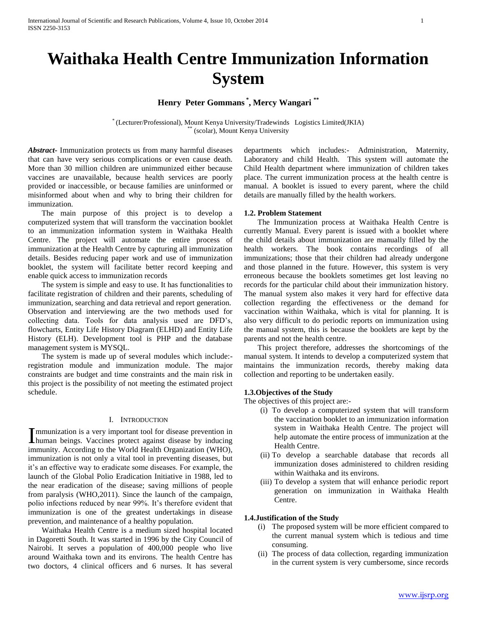# **Waithaka Health Centre Immunization Information System**

# **Henry Peter Gommans \* , Mercy Wangari \*\***

\* (Lecturer/Professional), Mount Kenya University/Tradewinds Logistics Limited(JKIA) (scolar), Mount Kenya University

*Abstract***-** Immunization protects us from many harmful diseases that can have very serious complications or even cause death. More than 30 million children are unimmunized either because vaccines are unavailable, because health services are poorly provided or inaccessible, or because families are uninformed or misinformed about when and why to bring their children for immunization.

 The main purpose of this project is to develop a computerized system that will transform the vaccination booklet to an immunization information system in Waithaka Health Centre. The project will automate the entire process of immunization at the Health Centre by capturing all immunization details. Besides reducing paper work and use of immunization booklet, the system will facilitate better record keeping and enable quick access to immunization records

 The system is simple and easy to use. It has functionalities to facilitate registration of children and their parents, scheduling of immunization, searching and data retrieval and report generation. Observation and interviewing are the two methods used for collecting data. Tools for data analysis used are DFD's, flowcharts, Entity Life History Diagram (ELHD) and Entity Life History (ELH). Development tool is PHP and the database management system is MYSQL.

 The system is made up of several modules which include: registration module and immunization module. The major constraints are budget and time constraints and the main risk in this project is the possibility of not meeting the estimated project schedule.

#### I. INTRODUCTION

mmunization is a very important tool for disease prevention in Immunization is a very important tool for disease prevention in<br>human beings. Vaccines protect against disease by inducing immunity. According to the World Health Organization (WHO), immunization is not only a vital tool in preventing diseases, but it's an effective way to eradicate some diseases. For example, the launch of the Global Polio Eradication Initiative in 1988, led to the near eradication of the disease; saving millions of people from paralysis (WHO,2011). Since the launch of the campaign, polio infections reduced by near 99%. It's therefore evident that immunization is one of the greatest undertakings in disease prevention, and maintenance of a healthy population.

 Waithaka Health Centre is a medium sized hospital located in Dagoretti South. It was started in 1996 by the City Council of Nairobi. It serves a population of 400,000 people who live around Waithaka town and its environs. The health Centre has two doctors, 4 clinical officers and 6 nurses. It has several

departments which includes:- Administration, Maternity, Laboratory and child Health. This system will automate the Child Health department where immunization of children takes place. The current immunization process at the health centre is manual. A booklet is issued to every parent, where the child details are manually filled by the health workers.

#### **1.2. Problem Statement**

 The Immunization process at Waithaka Health Centre is currently Manual. Every parent is issued with a booklet where the child details about immunization are manually filled by the health workers. The book contains recordings of all immunizations; those that their children had already undergone and those planned in the future. However, this system is very erroneous because the booklets sometimes get lost leaving no records for the particular child about their immunization history. The manual system also makes it very hard for effective data collection regarding the effectiveness or the demand for vaccination within Waithaka, which is vital for planning. It is also very difficult to do periodic reports on immunization using the manual system, this is because the booklets are kept by the parents and not the health centre.

 This project therefore, addresses the shortcomings of the manual system. It intends to develop a computerized system that maintains the immunization records, thereby making data collection and reporting to be undertaken easily.

#### **1.3.Objectives of the Study**

The objectives of this project are:-

- (i) To develop a computerized system that will transform the vaccination booklet to an immunization information system in Waithaka Health Centre. The project will help automate the entire process of immunization at the Health Centre.
- (ii) To develop a searchable database that records all immunization doses administered to children residing within Waithaka and its environs.
- (iii) To develop a system that will enhance periodic report generation on immunization in Waithaka Health Centre.

#### **1.4.Justification of the Study**

- (i) The proposed system will be more efficient compared to the current manual system which is tedious and time consuming.
- (ii) The process of data collection, regarding immunization in the current system is very cumbersome, since records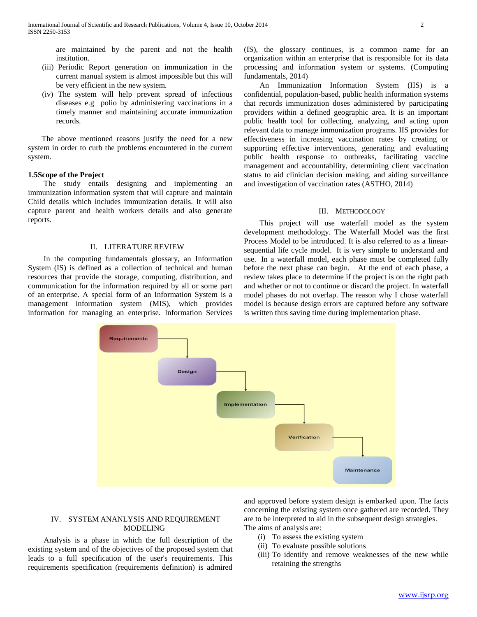are maintained by the parent and not the health institution.

- (iii) Periodic Report generation on immunization in the current manual system is almost impossible but this will be very efficient in the new system.
- (iv) The system will help prevent spread of infectious diseases e.g polio by administering vaccinations in a timely manner and maintaining accurate immunization records.

 The above mentioned reasons justify the need for a new system in order to curb the problems encountered in the current system.

#### **1.5Scope of the Project**

 The study entails designing and implementing an immunization information system that will capture and maintain Child details which includes immunization details. It will also capture parent and health workers details and also generate reports.

#### II. LITERATURE REVIEW

 In the computing fundamentals glossary, an Information System (IS) is defined as a collection of technical and human resources that provide the storage, computing, distribution, and communication for the information required by all or some part of an enterprise. A special form of an Information System is a management information system (MIS), which provides information for managing an enterprise. Information Services

**Requirements** 

**Design** 

**Implementation** 

(IS), the glossary continues, is a common name for an organization within an enterprise that is responsible for its data processing and information system or systems. (Computing fundamentals, 2014)

 An Immunization Information System (IIS) is a confidential, population‐based, public health information systems that records immunization doses administered by participating providers within a defined geographic area. It is an important public health tool for collecting, analyzing, and acting upon relevant data to manage immunization programs. IIS provides for effectiveness in increasing vaccination rates by creating or supporting effective interventions, generating and evaluating public health response to outbreaks, facilitating vaccine management and accountability, determining client vaccination status to aid clinician decision making, and aiding surveillance and investigation of vaccination rates (ASTHO, 2014)

#### III. METHODOLOGY

 This project will use waterfall model as the system development methodology. The Waterfall Model was the first Process Model to be introduced. It is also referred to as a linearsequential life cycle model. It is very simple to understand and use. In a waterfall model, each phase must be completed fully before the next phase can begin. At the end of each phase, a review takes place to determine if the project is on the right path and whether or not to continue or discard the project. In waterfall model phases do not overlap. The reason why I chose waterfall model is because design errors are captured before any software is written thus saving time during implementation phase.



 Analysis is a phase in which the full description of the existing system and of the objectives of the proposed system that leads to a full specification of the user's requirements. This requirements specification (requirements definition) is admired

and approved before system design is embarked upon. The facts concerning the existing system once gathered are recorded. They are to be interpreted to aid in the subsequent design strategies. The aims of analysis are:

Maintenance

(i) To assess the existing system

Verification

- (ii) To evaluate possible solutions
- (iii) To identify and remove weaknesses of the new while retaining the strengths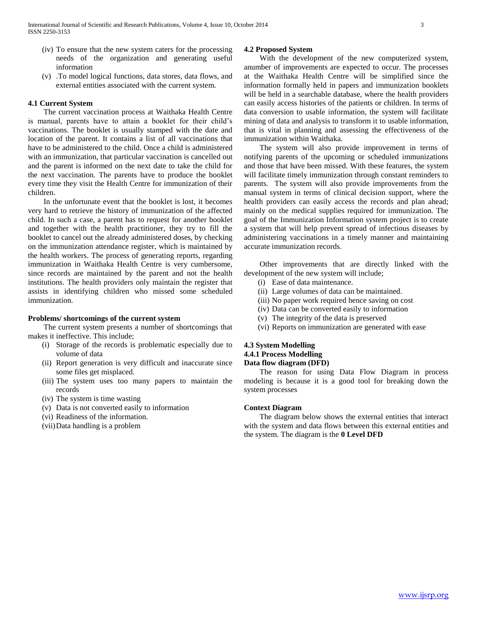- (iv) To ensure that the new system caters for the processing needs of the organization and generating useful information
- (v) .To model logical functions, data stores, data flows, and external entities associated with the current system.

#### **4.1 Current System**

 The current vaccination process at Waithaka Health Centre is manual, parents have to attain a booklet for their child's vaccinations. The booklet is usually stamped with the date and location of the parent. It contains a list of all vaccinations that have to be administered to the child. Once a child is administered with an immunization, that particular vaccination is cancelled out and the parent is informed on the next date to take the child for the next vaccination. The parents have to produce the booklet every time they visit the Health Centre for immunization of their children.

 In the unfortunate event that the booklet is lost, it becomes very hard to retrieve the history of immunization of the affected child. In such a case, a parent has to request for another booklet and together with the health practitioner, they try to fill the booklet to cancel out the already administered doses, by checking on the immunization attendance register, which is maintained by the health workers. The process of generating reports, regarding immunization in Waithaka Health Centre is very cumbersome, since records are maintained by the parent and not the health institutions. The health providers only maintain the register that assists in identifying children who missed some scheduled immunization.

#### **Problems/ shortcomings of the current system**

 The current system presents a number of shortcomings that makes it ineffective. This include;

- (i) Storage of the records is problematic especially due to volume of data
- (ii) Report generation is very difficult and inaccurate since some files get misplaced.
- (iii) The system uses too many papers to maintain the records
- (iv) The system is time wasting
- (v) Data is not converted easily to information
- (vi) Readiness of the information.
- (vii)Data handling is a problem

#### **4.2 Proposed System**

 With the development of the new computerized system, anumber of improvements are expected to occur. The processes at the Waithaka Health Centre will be simplified since the information formally held in papers and immunization booklets will be held in a searchable database, where the health providers can easily access histories of the patients or children. In terms of data conversion to usable information, the system will facilitate mining of data and analysis to transform it to usable information, that is vital in planning and assessing the effectiveness of the immunization within Waithaka.

 The system will also provide improvement in terms of notifying parents of the upcoming or scheduled immunizations and those that have been missed. With these features, the system will facilitate timely immunization through constant reminders to parents. The system will also provide improvements from the manual system in terms of clinical decision support, where the health providers can easily access the records and plan ahead; mainly on the medical supplies required for immunization. The goal of the Immunization Information system project is to create a system that will help prevent spread of infectious diseases by administering vaccinations in a timely manner and maintaining accurate immunization records.

 Other improvements that are directly linked with the development of the new system will include;

- (i) Ease of data maintenance.
- (ii) Large volumes of data can be maintained.
- (iii) No paper work required hence saving on cost
- (iv) Data can be converted easily to information
- (v) The integrity of the data is preserved
- (vi) Reports on immunization are generated with ease

#### **4.3 System Modelling 4.4.1 Process Modelling Data flow diagram (DFD)**

 The reason for using Data Flow Diagram in process modeling is because it is a good tool for breaking down the system processes

#### **Context Diagram**

 The diagram below shows the external entities that interact with the system and data flows between this external entities and the system. The diagram is the **0 Level DFD**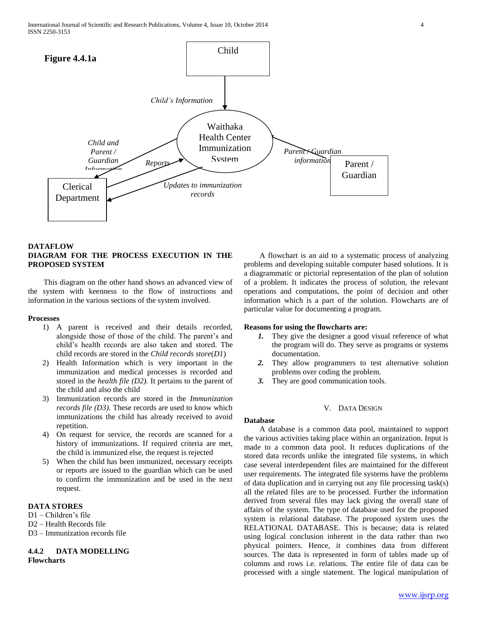

#### **DATAFLOW DIAGRAM FOR THE PROCESS EXECUTION IN THE PROPOSED SYSTEM**

 This diagram on the other hand shows an advanced view of the system with keenness to the flow of instructions and information in the various sections of the system involved.

#### **Processes**

- 1) A parent is received and their details recorded, alongside those of those of the child. The parent's and child's health records are also taken and stored. The child records are stored in the *Child records store*(*D1*)
- 2) Health Information which is very important in the immunization and medical processes is recorded and stored in the *health file (D2).* It pertains to the parent of the child and also the child
- 3) Immunization records are stored in the *Immunization records file (D3)*. These records are used to know which immunizations the child has already received to avoid repetition.
- 4) On request for service, the records are scanned for a history of immunizations. If required criteria are met, the child is immunized else, the request is rejected
- 5) When the child has been immunized, necessary receipts or reports are issued to the guardian which can be used to confirm the immunization and be used in the next request.

# **DATA STORES**

- D1 Children's file
- D2 Health Records file
- D<sub>3</sub> Immunization records file

#### **4.4.2 DATA MODELLING Flowcharts**

 A flowchart is an aid to a systematic process of analyzing problems and developing suitable computer based solutions. It is a diagrammatic or pictorial representation of the plan of solution of a problem. It indicates the process of solution, the relevant operations and computations, the point of decision and other information which is a part of the solution. Flowcharts are of particular value for documenting a program.

#### **Reasons for using the flowcharts are:**

- *1.* They give the designer a good visual reference of what the program will do. They serve as programs or systems documentation.
- *2.* They allow programmers to test alternative solution problems over coding the problem.
- *3.* They are good communication tools.

# V. DATA DESIGN

**Database** 

 A database is a common data pool, maintained to support the various activities taking place within an organization. Input is made to a common data pool. It reduces duplications of the stored data records unlike the integrated file systems, in which case several interdependent files are maintained for the different user requirements. The integrated file systems have the problems of data duplication and in carrying out any file processing task(s) all the related files are to be processed. Further the information derived from several files may lack giving the overall state of affairs of the system. The type of database used for the proposed system is relational database. The proposed system uses the RELATIONAL DATABASE. This is because; data is related using logical conclusion inherent in the data rather than two physical pointers. Hence, it combines data from different sources. The data is represented in form of tables made up of columns and rows i.e. relations. The entire file of data can be processed with a single statement. The logical manipulation of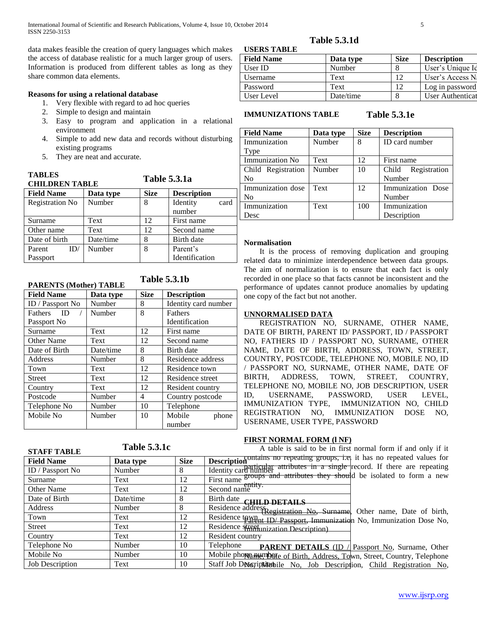data makes feasible the creation of query languages which makes the access of database realistic for a much larger group of users. Information is produced from different tables as long as they share common data elements.

### **Reasons for using a relational database**

- 1. Very flexible with regard to ad hoc queries
- 2. Simple to design and maintain
- 3. Easy to program and application in a relational environment
- 4. Simple to add new data and records without disturbing existing programs
- 5. They are neat and accurate.

| <b>TABLES</b><br><b>CHILDREN TABLE</b> |           | <b>Table 5.3.1a</b> |                    |  |
|----------------------------------------|-----------|---------------------|--------------------|--|
| <b>Field Name</b>                      | Data type | <b>Size</b>         | <b>Description</b> |  |
| <b>Registration No</b>                 | Number    | 8                   | Identity<br>card   |  |
|                                        |           |                     | number             |  |
| Surname                                | Text      | 12                  | First name         |  |
| Other name                             | Text      | 12                  | Second name        |  |
| Date of birth                          | Date/time | 8                   | Birth date         |  |
| Number<br>ID/<br>Parent                |           | 8                   | Parent's           |  |
| Passport                               |           |                     | Identification     |  |

**Table 5.3.1b**

#### **PARENTS (Mother) TABLE**

| <b>Field Name</b>      | Data type | <b>Size</b> | <b>Description</b>   |  |
|------------------------|-----------|-------------|----------------------|--|
| ID / Passport No       | Number    | 8           | Identity card number |  |
| - ID<br><b>Fathers</b> | Number    | 8           | <b>Fathers</b>       |  |
| Passport No            |           |             | Identification       |  |
| Surname                | Text      | 12          | First name           |  |
| <b>Other Name</b>      | Text      | 12          | Second name          |  |
| Date of Birth          | Date/time | 8           | Birth date           |  |
| Address                | Number    | 8           | Residence address    |  |
| Town                   | Text      | 12          | Residence town       |  |
| <b>Street</b>          | Text      | 12          | Residence street     |  |
| Country                | Text      | 12          | Resident country     |  |
| Postcode               | Number    | 4           | Country postcode     |  |
| Telephone No           | Number    | 10          | Telephone            |  |
| Mobile No              | Number    | 10          | Mobile<br>phone      |  |
|                        |           |             | number               |  |

#### **USERS TABLE Table 5.3.1d**

# **Field Name Data type Size Description** User ID Number 8 User's Unique Identifier Username Text 12 User's Access N Password **Text** 12 Log in password User Level Date/time 8 User Authentication Level

#### **IMMUNIZATIONS TABLE**

**Table 5.3.1e**

| <b>Field Name</b>  | Data type | <b>Size</b>     | <b>Description</b>    |  |
|--------------------|-----------|-----------------|-----------------------|--|
| Immunization       | Number    | 8               | ID card number        |  |
| Type               |           |                 |                       |  |
| Immunization No    | Text      | 12.             | First name            |  |
| Child Registration | Number    | 10              | Registration<br>Child |  |
| N <sub>0</sub>     |           |                 | Number                |  |
| Immunization dose  | Text      | 12 <sub>1</sub> | Immunization Dose     |  |
| No                 |           |                 | Number                |  |
| Immunization       | Text      | 100             | Immunization          |  |
| Desc               |           |                 | Description           |  |

#### **Normalisation**

 It is the process of removing duplication and grouping related data to minimize interdependence between data groups. The aim of normalization is to ensure that each fact is only recorded in one place so that facts cannot be inconsistent and the performance of updates cannot produce anomalies by updating one copy of the fact but not another.

### **UNNORMALISED DATA**

 REGISTRATION NO, SURNAME, OTHER NAME, DATE OF BIRTH, PARENT ID/ PASSPORT, ID / PASSPORT NO, FATHERS ID / PASSPORT NO, SURNAME, OTHER NAME, DATE OF BIRTH, ADDRESS, TOWN, STREET, COUNTRY, POSTCODE, TELEPHONE NO, MOBILE NO, ID / PASSPORT NO, SURNAME, OTHER NAME, DATE OF BIRTH, ADDRESS, TOWN, STREET, COUNTRY, TELEPHONE NO, MOBILE NO, JOB DESCRIPTION, USER ID, USERNAME, PASSWORD, USER LEVEL, IMMUNIZATION TYPE, IMMUNIZATION NO, CHILD REGISTRATION NO, IMMUNIZATION DOSE NO, USERNAME, USER TYPE, PASSWORD

### **FIRST NORMAL FORM (l NF)**

| <b>STAFF TABLE</b>     | <b>Table 5.3.1c</b> |             | A table is said to be in first normal form if and only if it                                                                                       |
|------------------------|---------------------|-------------|----------------------------------------------------------------------------------------------------------------------------------------------------|
| <b>Field Name</b>      | Data type           | <b>Size</b> | Description contains no repeating groups, i.e. it has no repeated values for                                                                       |
| ID / Passport No       | Number              | 8           | Identity card number attributes in a single record. If there are repeating<br><i>example in a attributes they should be isolated to form a new</i> |
| Surname                | Text                | 12          | First name                                                                                                                                         |
| <b>Other Name</b>      | Text                | 12          | Second name                                                                                                                                        |
| Date of Birth          | Date/time           | 8           | Birth date<br><b>CHILD DETAILS</b>                                                                                                                 |
| Address                | Number              | 8           | Residence address registration No. Surname, Other name, Date of birth,                                                                             |
| Town                   | Text                | 12          | Residence town ID/Passport, Immunization No, Immunization Dose No,                                                                                 |
| <b>Street</b>          | Text                | 12          | Residence street inization Description).                                                                                                           |
| Country                | Text                | 12          | Resident country                                                                                                                                   |
| Telephone No           | Number              | 10          | Telephone<br><b>PARENT DETAILS</b> (ID $\angle$ Passport No, Surname, Other                                                                        |
| Mobile No              | Number              | 10          | Mobile phone mumbete of Birth, Address, Town, Street, Country, Telephone                                                                           |
| <b>Job Description</b> | Text                | 10          | Staff Job Description bile No. Job Description, Child Registration No.                                                                             |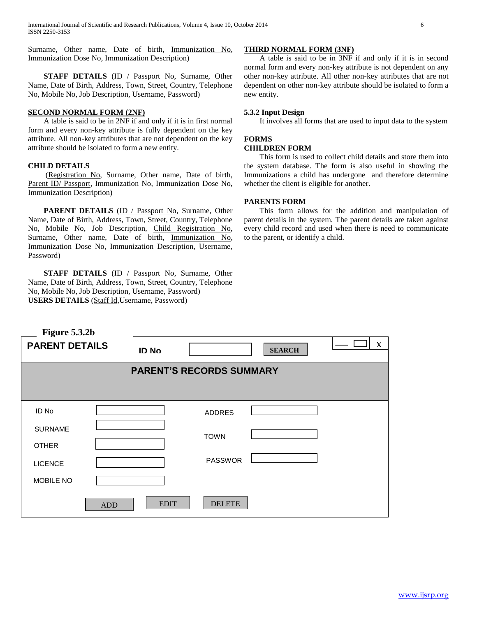Surname, Other name, Date of birth, Immunization No, Immunization Dose No, Immunization Description)

 **STAFF DETAILS** (ID / Passport No, Surname, Other Name, Date of Birth, Address, Town, Street, Country, Telephone No, Mobile No, Job Description, Username, Password)

#### **SECOND NORMAL FORM (2NF)**

 A table is said to be in 2NF if and only if it is in first normal form and every non-key attribute is fully dependent on the key attribute. All non-key attributes that are not dependent on the key attribute should be isolated to form a new entity.

#### **CHILD DETAILS**

(Registration No, Surname, Other name, Date of birth, Parent ID/ Passport, Immunization No, Immunization Dose No, Immunization Description)

**PARENT DETAILS** (ID / Passport No, Surname, Other Name, Date of Birth, Address, Town, Street, Country, Telephone No, Mobile No, Job Description, Child Registration No, Surname, Other name, Date of birth, Immunization No, Immunization Dose No, Immunization Description, Username, Password)

**STAFF DETAILS** (ID / Passport No, Surname, Other Name, Date of Birth, Address, Town, Street, Country, Telephone No, Mobile No, Job Description, Username, Password) **USERS DETAILS** (Staff Id,Username, Password)

#### **THIRD NORMAL FORM (3NF)**

 A table is said to be in 3NF if and only if it is in second normal form and every non-key attribute is not dependent on any other non-key attribute. All other non-key attributes that are not dependent on other non-key attribute should be isolated to form a new entity.

#### **5.3.2 Input Design**

It involves all forms that are used to input data to the system

# **FORMS**

# **CHILDREN FORM**

 This form is used to collect child details and store them into the system database. The form is also useful in showing the Immunizations a child has undergone and therefore determine whether the client is eligible for another.

#### **PARENTS FORM**

 This form allows for the addition and manipulation of parent details in the system. The parent details are taken against every child record and used when there is need to communicate to the parent, or identify a child.

| Figure 5.3.2b         |            |              |                                 |               |             |
|-----------------------|------------|--------------|---------------------------------|---------------|-------------|
| <b>PARENT DETAILS</b> |            | <b>ID No</b> |                                 | <b>SEARCH</b> | $\mathbf x$ |
|                       |            |              | <b>PARENT'S RECORDS SUMMARY</b> |               |             |
|                       |            |              |                                 |               |             |
| ID No                 |            |              | <b>ADDRES</b>                   |               |             |
| <b>SURNAME</b>        |            |              | <b>TOWN</b>                     |               |             |
| <b>OTHER</b>          |            |              |                                 |               |             |
| <b>LICENCE</b>        |            |              | <b>PASSWOR</b>                  |               |             |
| MOBILE NO             |            |              |                                 |               |             |
|                       | <b>ADD</b> | <b>EDIT</b>  | <b>DELETE</b>                   |               |             |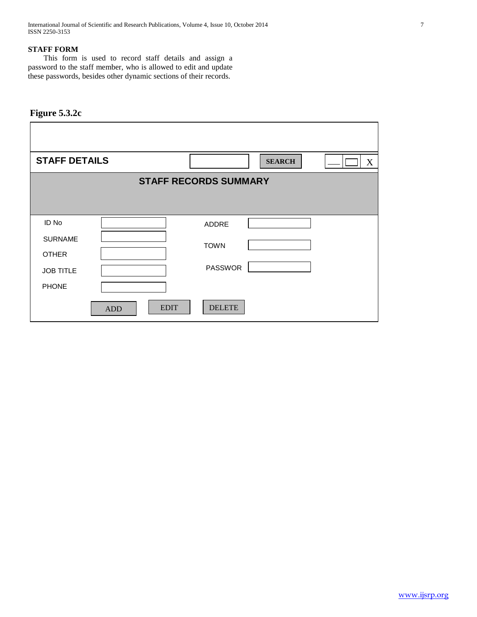International Journal of Scientific and Research Publications, Volume 4, Issue 10, October 2014 7 ISSN 2250-3153

### **STAFF FORM**

 This form is used to record staff details and assign a password to the staff member, who is allowed to edit and update these passwords, besides other dynamic sections of their records.

# **Figure 5.3.2c**

| <b>STAFF DETAILS</b> |                           | <b>SEARCH</b><br>$\boldsymbol{X}$ |
|----------------------|---------------------------|-----------------------------------|
|                      |                           | <b>STAFF RECORDS SUMMARY</b>      |
|                      |                           |                                   |
| ID No                |                           | ADDRE                             |
| <b>SURNAME</b>       |                           | <b>TOWN</b>                       |
| <b>OTHER</b>         |                           |                                   |
| <b>JOB TITLE</b>     |                           | <b>PASSWOR</b>                    |
| <b>PHONE</b>         |                           |                                   |
|                      | <b>EDIT</b><br><b>ADD</b> | <b>DELETE</b>                     |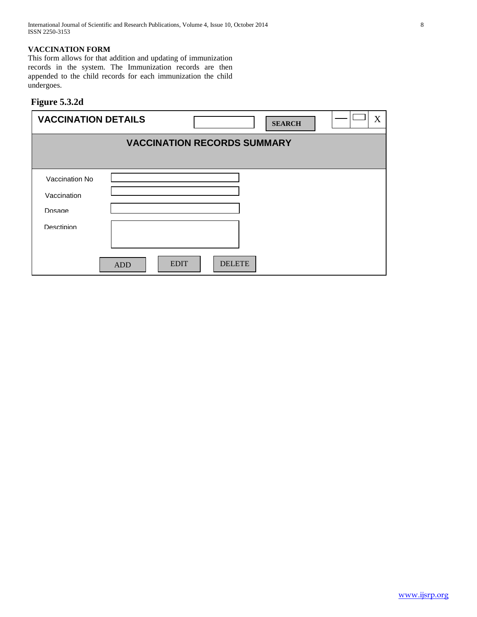### **VACCINATION FORM**

This form allows for that addition and updating of immunization records in the system. The Immunization records are then appended to the child records for each immunization the child undergoes.

# **Figure 5.3.2d**

| <b>VACCINATION DETAILS</b> |                                    |             |               | <b>SEARCH</b> | X |  |  |
|----------------------------|------------------------------------|-------------|---------------|---------------|---|--|--|
|                            | <b>VACCINATION RECORDS SUMMARY</b> |             |               |               |   |  |  |
|                            |                                    |             |               |               |   |  |  |
| Vaccination No             |                                    |             |               |               |   |  |  |
| Vaccination                |                                    |             |               |               |   |  |  |
| Dosage                     |                                    |             |               |               |   |  |  |
| Desctipion                 |                                    |             |               |               |   |  |  |
|                            |                                    |             |               |               |   |  |  |
|                            | <b>ADD</b>                         | <b>EDIT</b> | <b>DELETE</b> |               |   |  |  |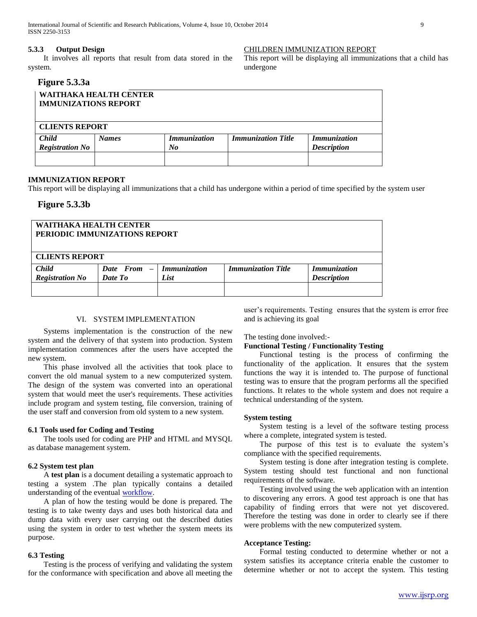#### **5.3.3 Output Design**

 It involves all reports that result from data stored in the system.

# **Figure 5.3.3a**

| <b>IMMUNIZATIONS REPORT</b> | WAITHAKA HEALTH CENTER |                     |                           |                     |
|-----------------------------|------------------------|---------------------|---------------------------|---------------------|
| <b>CLIENTS REPORT</b>       |                        |                     |                           |                     |
| <b>Child</b>                | <b>Names</b>           | <b>Immunization</b> | <b>Immunization Title</b> | <i>Immunization</i> |
| <b>Registration No</b>      |                        | No                  |                           | <b>Description</b>  |
|                             |                        |                     |                           |                     |

#### **IMMUNIZATION REPORT**

This report will be displaying all immunizations that a child has undergone within a period of time specified by the system user

# **Figure 5.3.3b**

| WAITHAKA HEALTH CENTER<br>PERIODIC IMMUNIZATIONS REPORT         |                     |                           |                     |  |  |  |
|-----------------------------------------------------------------|---------------------|---------------------------|---------------------|--|--|--|
| <b>CLIENTS REPORT</b>                                           |                     |                           |                     |  |  |  |
| Date From -                                                     | <i>Immunization</i> | <b>Immunization Title</b> | <b>Immunization</b> |  |  |  |
| <b>Registration No</b><br>Date To<br><b>Description</b><br>List |                     |                           |                     |  |  |  |
|                                                                 |                     |                           |                     |  |  |  |
|                                                                 |                     |                           |                     |  |  |  |

#### VI. SYSTEM IMPLEMENTATION

 Systems implementation is the construction of the new system and the delivery of that system into production. System implementation commences after the users have accepted the new system.

 This phase involved all the activities that took place to convert the old manual system to a new computerized system. The design of the system was converted into an operational system that would meet the user's requirements. These activities include program and system testing, file conversion, training of the user staff and conversion from old system to a new system.

#### **6.1 Tools used for Coding and Testing**

 The tools used for coding are PHP and HTML and MYSQL as database management system.

#### **6.2 System test plan**

 A **test plan** is a document detailing a systematic approach to testing a system .The plan typically contains a detailed understanding of the eventual [workflow.](http://en.wikipedia.org/wiki/Workflow)

 A plan of how the testing would be done is prepared. The testing is to take twenty days and uses both historical data and dump data with every user carrying out the described duties using the system in order to test whether the system meets its purpose.

#### **6.3 Testing**

 Testing is the process of verifying and validating the system for the conformance with specification and above all meeting the

user's requirements. Testing ensures that the system is error free and is achieving its goal

The testing done involved:-

#### **Functional Testing / Functionality Testing**

CHILDREN IMMUNIZATION REPORT

undergone

This report will be displaying all immunizations that a child has

 Functional testing is the process of confirming the functionality of the application. It ensures that the system functions the way it is intended to. The purpose of functional testing was to ensure that the program performs all the specified functions. It relates to the whole system and does not require a technical understanding of the system.

#### **System testing**

 System testing is a level of the software testing process where a complete, integrated system is tested.

 The purpose of this test is to evaluate the system's compliance with the specified requirements.

 System testing is done after integration testing is complete. System testing should test functional and non functional requirements of the software.

 Testing involved using the web application with an intention to discovering any errors. A good test approach is one that has capability of finding errors that were not yet discovered. Therefore the testing was done in order to clearly see if there were problems with the new computerized system.

#### **Acceptance Testing:**

 Formal testing conducted to determine whether or not a system satisfies its acceptance criteria enable the customer to determine whether or not to accept the system. This testing